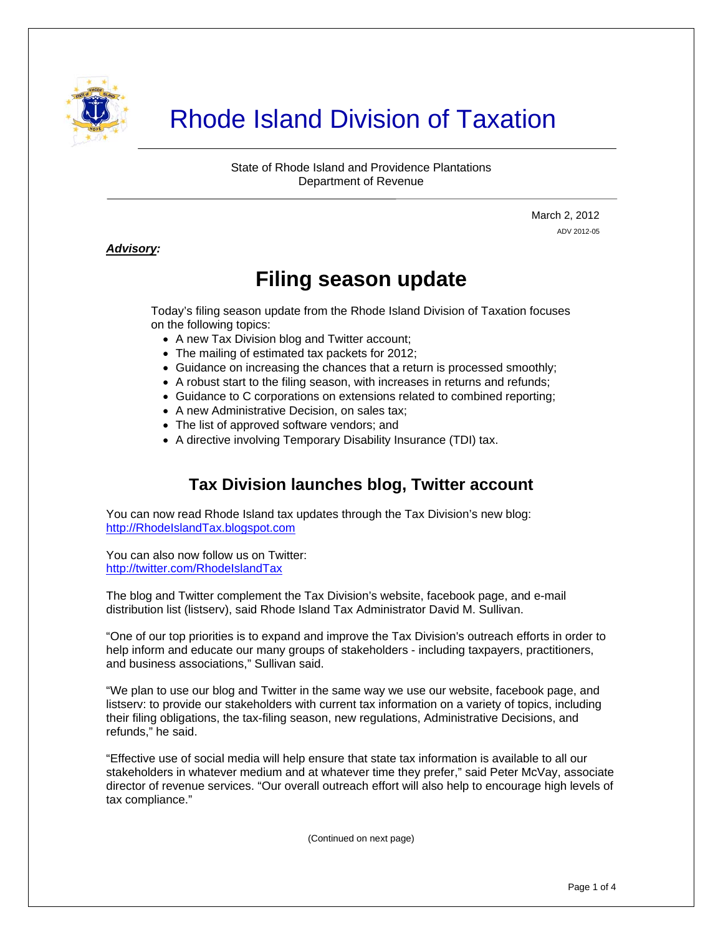

# Rhode Island Division of Taxation

State of Rhode Island and Providence Plantations Department of Revenue

> March 2, 2012 ADV 2012-05

#### *Advisory:*

j

# **Filing season update**

Today's filing season update from the Rhode Island Division of Taxation focuses on the following topics:

- A new Tax Division blog and Twitter account;
- The mailing of estimated tax packets for 2012;
- Guidance on increasing the chances that a return is processed smoothly;
- A robust start to the filing season, with increases in returns and refunds;
- Guidance to C corporations on extensions related to combined reporting;
- A new Administrative Decision, on sales tax:
- The list of approved software vendors; and
- A directive involving Temporary Disability Insurance (TDI) tax.

# **Tax Division launches blog, Twitter account**

You can now read Rhode Island tax updates through the Tax Division's new blog: [http://RhodeIslandTax.blogspot.com](http://rhodeislandtax.blogspot.com/)

You can also now follow us on Twitter: <http://twitter.com/RhodeIslandTax>

The blog and Twitter complement the Tax Division's website, facebook page, and e-mail distribution list (listserv), said Rhode Island Tax Administrator David M. Sullivan.

"One of our top priorities is to expand and improve the Tax Division's outreach efforts in order to help inform and educate our many groups of stakeholders - including taxpayers, practitioners, and business associations," Sullivan said.

"We plan to use our blog and Twitter in the same way we use our website, facebook page, and listserv: to provide our stakeholders with current tax information on a variety of topics, including their filing obligations, the tax-filing season, new regulations, Administrative Decisions, and refunds," he said.

"Effective use of social media will help ensure that state tax information is available to all our stakeholders in whatever medium and at whatever time they prefer," said Peter McVay, associate director of revenue services. "Our overall outreach effort will also help to encourage high levels of tax compliance."

(Continued on next page)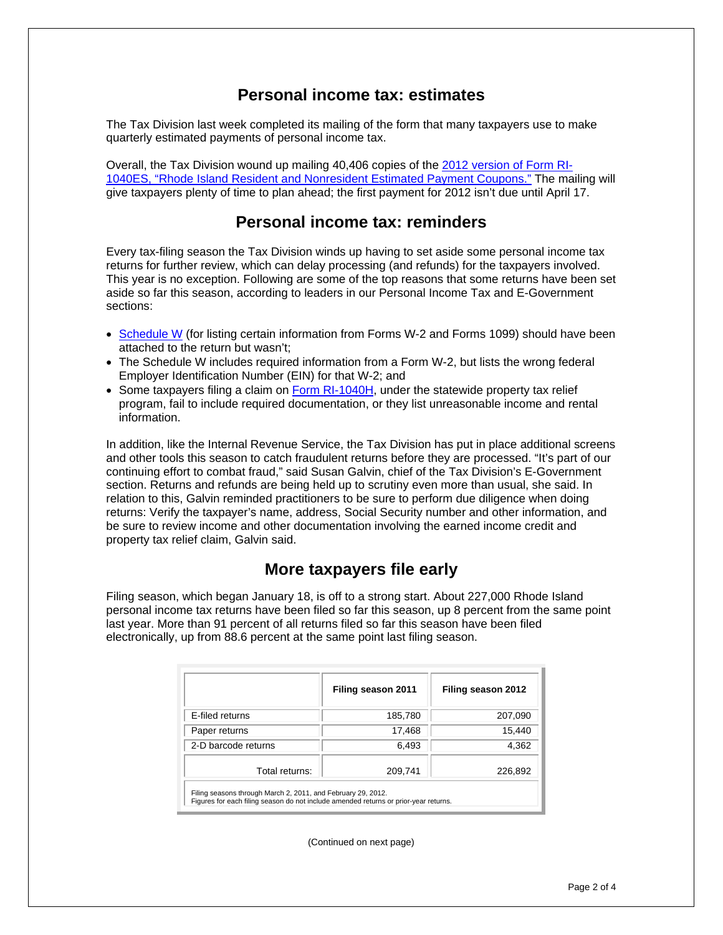#### **Personal income tax: estimates**

The Tax Division last week completed its mailing of the form that many taxpayers use to make quarterly estimated payments of personal income tax.

Overall, the Tax Division wound up mailing 40,406 copies of the [2012 version of Form RI-](http://www.tax.ri.gov/forms/2012/Income/2012%20RI-1040ES.pdf)[1040ES, "Rhode Island Resident and Nonresident Estimated Payment Coupons."](http://www.tax.ri.gov/forms/2012/Income/2012%20RI-1040ES.pdf) The mailing will give taxpayers plenty of time to plan ahead; the first payment for 2012 isn't due until April 17.

# **Personal income tax: reminders**

Every tax-filing season the Tax Division winds up having to set aside some personal income tax returns for further review, which can delay processing (and refunds) for the taxpayers involved. This year is no exception. Following are some of the top reasons that some returns have been set aside so far this season, according to leaders in our Personal Income Tax and E-Government sections:

- [Schedule W](http://www.tax.ri.gov/forms/2011/Income/2011%20Schedule%20W.pdf) (for listing certain information from Forms W-2 and Forms 1099) should have been attached to the return but wasn't;
- The Schedule W includes required information from a Form W-2, but lists the wrong federal Employer Identification Number (EIN) for that W-2; and
- Some taxpayers filing a claim on [Form RI-1040H](http://www.tax.ri.gov/forms/2011/Income/2011%201040H.pdf), under the statewide property tax relief program, fail to include required documentation, or they list unreasonable income and rental information.

In addition, like the Internal Revenue Service, the Tax Division has put in place additional screens and other tools this season to catch fraudulent returns before they are processed. "It's part of our continuing effort to combat fraud," said Susan Galvin, chief of the Tax Division's E-Government section. Returns and refunds are being held up to scrutiny even more than usual, she said. In relation to this, Galvin reminded practitioners to be sure to perform due diligence when doing returns: Verify the taxpayer's name, address, Social Security number and other information, and be sure to review income and other documentation involving the earned income credit and property tax relief claim, Galvin said.

# **More taxpayers file early**

Filing season, which began January 18, is off to a strong start. About 227,000 Rhode Island personal income tax returns have been filed so far this season, up 8 percent from the same point last year. More than 91 percent of all returns filed so far this season have been filed electronically, up from 88.6 percent at the same point last filing season.

|                                                                                                                                                      | Filing season 2011 | Filing season 2012 |  |
|------------------------------------------------------------------------------------------------------------------------------------------------------|--------------------|--------------------|--|
| E-filed returns                                                                                                                                      | 185,780            | 207,090            |  |
| Paper returns                                                                                                                                        | 17,468             | 15,440             |  |
| 2-D barcode returns                                                                                                                                  | 6,493              | 4,362              |  |
| Total returns:                                                                                                                                       | 209,741            | 226,892            |  |
| Filing seasons through March 2, 2011, and February 29, 2012.<br>Figures for each filing season do not include amended returns or prior-year returns. |                    |                    |  |

(Continued on next page)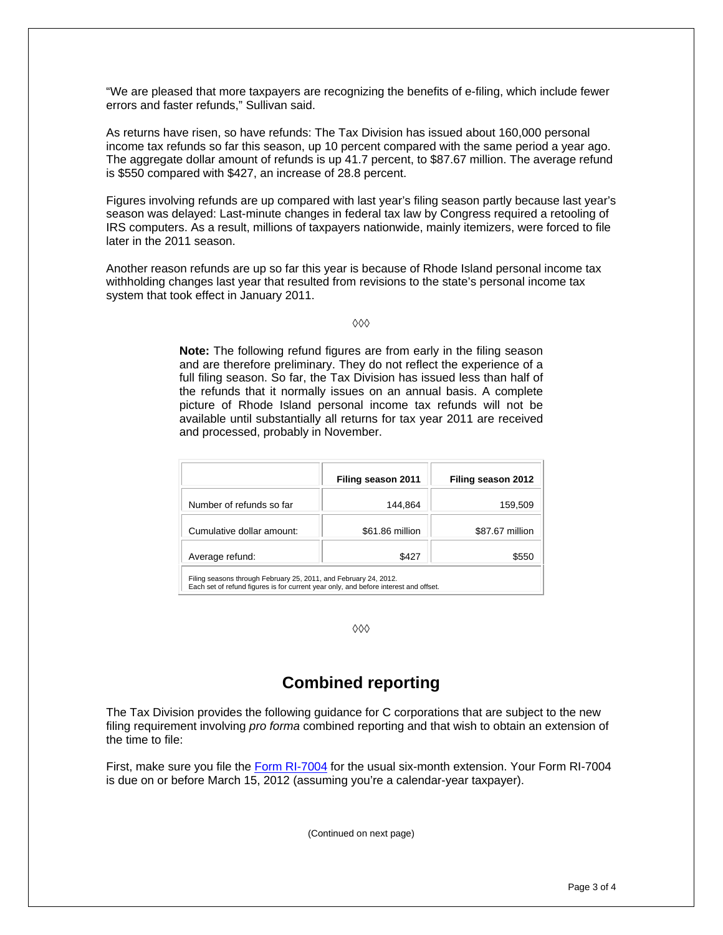"We are pleased that more taxpayers are recognizing the benefits of e-filing, which include fewer errors and faster refunds," Sullivan said.

As returns have risen, so have refunds: The Tax Division has issued about 160,000 personal income tax refunds so far this season, up 10 percent compared with the same period a year ago. The aggregate dollar amount of refunds is up 41.7 percent, to \$87.67 million. The average refund is \$550 compared with \$427, an increase of 28.8 percent.

Figures involving refunds are up compared with last year's filing season partly because last year's season was delayed: Last-minute changes in federal tax law by Congress required a retooling of IRS computers. As a result, millions of taxpayers nationwide, mainly itemizers, were forced to file later in the 2011 season.

Another reason refunds are up so far this year is because of Rhode Island personal income tax withholding changes last year that resulted from revisions to the state's personal income tax system that took effect in January 2011.

 $000$ 

**Note:** The following refund figures are from early in the filing season and are therefore preliminary. They do not reflect the experience of a full filing season. So far, the Tax Division has issued less than half of the refunds that it normally issues on an annual basis. A complete picture of Rhode Island personal income tax refunds will not be available until substantially all returns for tax year 2011 are received and processed, probably in November.

|                                                                  | Filing season 2011 | Filing season 2012 |  |
|------------------------------------------------------------------|--------------------|--------------------|--|
| Number of refunds so far                                         | 144,864            | 159,509            |  |
| Cumulative dollar amount:                                        | \$61.86 million    | \$87.67 million    |  |
| Average refund:                                                  | \$427              | \$550              |  |
| Filing seasons through February 25, 2011, and February 24, 2012. |                    |                    |  |

Each set of refund figures is for current year only, and before interest and offset.

 $\Diamond \Diamond \Diamond$ 

# **Combined reporting**

The Tax Division provides the following guidance for C corporations that are subject to the new filing requirement involving *pro forma* combined reporting and that wish to obtain an extension of the time to file:

First, make sure you file the [Form RI-7004](http://www.tax.ri.gov/forms/2011/Corp/2011%207004.pdf) for the usual six-month extension. Your Form RI-7004 is due on or before March 15, 2012 (assuming you're a calendar-year taxpayer).

(Continued on next page)